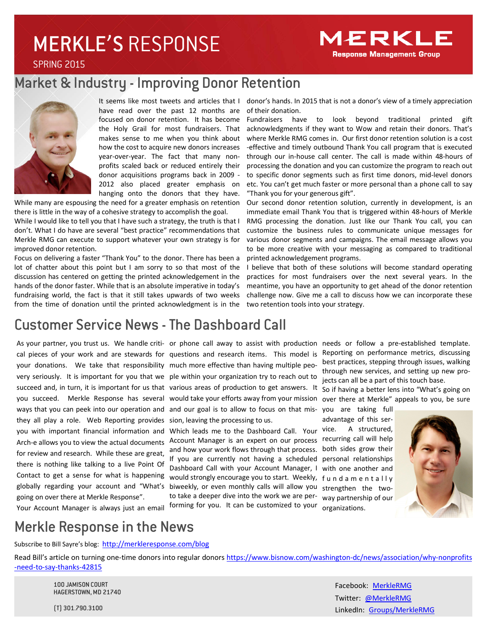# MERKLE'S RESPONSE

SPRING 2015

# Market & Industry - Improving Donor Retention



It seems like most tweets and articles that I have read over the past 12 months are focused on donor retention. It has become the Holy Grail for most fundraisers. That makes sense to me when you think about how the cost to acquire new donors increases year-over-year. The fact that many nonprofits scaled back or reduced entirely their donor acquisitions programs back in 2009 - 2012 also placed greater emphasis on hanging onto the donors that they have.

While many are espousing the need for a greater emphasis on retention there is little in the way of a cohesive strategy to accomplish the goal.

While I would like to tell you that I have such a strategy, the truth is that I don't. What I do have are several "best practice" recommendations that Merkle RMG can execute to support whatever your own strategy is for improved donor retention.

Focus on delivering a faster "Thank You" to the donor. There has been a lot of chatter about this point but I am sorry to so that most of the discussion has centered on getting the printed acknowledgement in the hands of the donor faster. While that is an absolute imperative in today's fundraising world, the fact is that it still takes upwards of two weeks from the time of donation until the printed acknowledgment is in the

donor's hands. In 2015 that is not a donor's view of a timely appreciation of their donation.

Fundraisers have to look beyond traditional printed gift acknowledgments if they want to Wow and retain their donors. That's where Merkle RMG comes in. Our first donor retention solution is a cost -effective and timely outbound Thank You call program that is executed through our in-house call center. The call is made within 48-hours of processing the donation and you can customize the program to reach out to specific donor segments such as first time donors, mid-level donors etc. You can't get much faster or more personal than a phone call to say "Thank you for your generous gift".

Our second donor retention solution, currently in development, is an immediate email Thank You that is triggered within 48-hours of Merkle RMG processing the donation. Just like our Thank You call, you can customize the business rules to communicate unique messages for various donor segments and campaigns. The email message allows you to be more creative with your messaging as compared to traditional printed acknowledgement programs.

I believe that both of these solutions will become standard operating practices for most fundraisers over the next several years. In the meantime, you have an opportunity to get ahead of the donor retention challenge now. Give me a call to discuss how we can incorporate these two retention tools into your strategy.

### Customer Service News - The Dashboard Call

they all play a role. Web Reporting provides sion, leaving the processing to us. Arch-e allows you to view the actual documents for review and research. While these are great, there is nothing like talking to a live Point Of Contact to get a sense for what is happening going on over there at Merkle Response".

cal pieces of your work and are stewards for questions and research items. This model is your donations. We take that responsibility much more effective than having multiple peovery seriously. It is important for you that we ple within your organization try to reach out to succeed and, in turn, it is important for us that various areas of production to get answers. It ways that you can peek into our operation and and our goal is to allow to focus on that mis-

you with important financial information and Which leads me to the Dashboard Call. Your globally regarding your account and "What's biweekly, or even monthly calls will allow you strengthen the two-Account Manager is an expert on our process recurring call will help and how your work flows through that process. If you are currently not having a scheduled personal relationships Dashboard Call with your Account Manager, I with one another and would strongly encourage you to start. Weekly, f u n d a m e n t a l l y to take a deeper dive into the work we are per-way partnership of our forming for you. It can be customized to your organizations.

As your partner, you trust us. We handle criti-or phone call away to assist with production needs or follow a pre-established template. Reporting on performance metrics, discussing best practices, stepping through issues, walking through new services, and setting up new projects can all be a part of this touch base.

you succeed. Merkle Response has several would take your efforts away from your mission over there at Merkle" appeals to you, be sure So if having a better lens into "What's going on

> you are taking full advantage of this service. A structured, both sides grow their



Your Account Manager is always just an email

## Merkle Response in the News

Subscribe to Bill Sayre's blog: http://merkleresponse.com/blog

Read Bill's article on turning one-time donors into regular donors https://www.bisnow.com/washington-dc/news/association/why-nonprofits -need-to-say-thanks-42815

100 JAMISON COURT HAGERSTOWN, MD 21740

Facebook: MerkleRMG Twitter: @MerkleRMG LinkedIn: Groups/MerkleRMG

(T) 301.790.3100